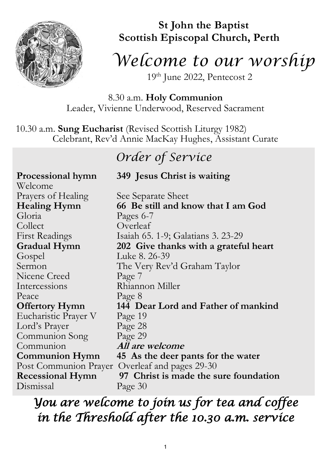

## **St John the Baptist Scottish Episcopal Church, Perth**

# *Welcome to our worship*

19th June 2022, Pentecost 2

8.30 a.m. **Holy Communion** Leader, Vivienne Underwood, Reserved Sacrament

10.30 a.m. **Sung Eucharist** (Revised Scottish Liturgy 1982) Celebrant, Rev'd Annie MacKay Hughes, Assistant Curate

# *Order of Service*

**Processional hymn 349 Jesus Christ is waiting** Welcome Prayers of Healing<br>
Healing Hymn<br>
66 Be still and kr Collect Overleaf Gospel Luke 8. 26-39 Nicene Creed Page 7 Intercessions Rhiannon Miller Peace Page 8 Eucharistic Prayer V Page 19 Lord's Prayer Page 28 Communion Song Page 29 Communion **All are welcome**<br> **Communion Hymn** 45 As the deer p

**Healing Hymn** 66 Be still and know that I am God<br>
Pages 6-7 Pages 6-7 First Readings Isaiah 65. 1-9; Galatians 3. 23-29 **Gradual Hymn 202 Give thanks with a grateful heart** Sermon The Very Rev'd Graham Taylor **Offertory Hymn 144 Dear Lord and Father of mankind Communion Hymn 45 As the deer pants for the water** Post Communion Prayer Overleaf and pages 29-30<br>Recessional Hymn 97 Christ is made the s **97 Christ is made the sure foundation** Dismissal Page 30

*You are welcome to join us for tea and coffee in the Threshold after the 10.30 a.m. service*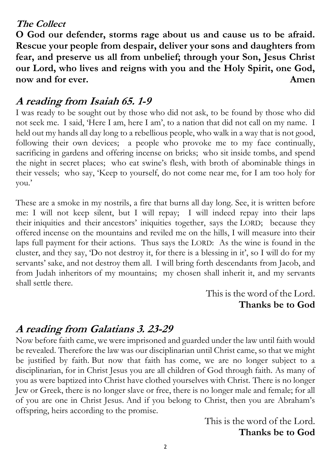#### **The Collect**

**O God our defender, storms rage about us and cause us to be afraid. Rescue your people from despair, deliver your sons and daughters from fear, and preserve us all from unbelief; through your Son, Jesus Christ our Lord, who lives and reigns with you and the Holy Spirit, one God, now and for ever.** Amen

### **A reading from Isaiah 65. 1-9**

I was ready to be sought out by those who did not ask, to be found by those who did not seek me. I said, 'Here I am, here I am', to a nation that did not call on my name. I held out my hands all day long to a rebellious people, who walk in a way that is not good, following their own devices; a people who provoke me to my face continually, sacrificing in gardens and offering incense on bricks; who sit inside tombs, and spend the night in secret places; who eat swine's flesh, with broth of abominable things in their vessels; who say, 'Keep to yourself, do not come near me, for I am too holy for you.'

These are a smoke in my nostrils, a fire that burns all day long. See, it is written before me: I will not keep silent, but I will repay; I will indeed repay into their laps their iniquities and their ancestors' iniquities together, says the LORD; because they offered incense on the mountains and reviled me on the hills, I will measure into their laps full payment for their actions. Thus says the LORD: As the wine is found in the cluster, and they say, 'Do not destroy it, for there is a blessing in it', so I will do for my servants' sake, and not destroy them all. I will bring forth descendants from Jacob, and from Judah inheritors of my mountains; my chosen shall inherit it, and my servants shall settle there.

> This is the word of the Lord. **Thanks be to God**

### **A reading from Galatians 3. 23-29**

Now before faith came, we were imprisoned and guarded under the law until faith would be revealed. Therefore the law was our disciplinarian until Christ came, so that we might be justified by faith. But now that faith has come, we are no longer subject to a disciplinarian, for in Christ Jesus you are all children of God through faith. As many of you as were baptized into Christ have clothed yourselves with Christ. There is no longer Jew or Greek, there is no longer slave or free, there is no longer male and female; for all of you are one in Christ Jesus. And if you belong to Christ, then you are Abraham's offspring, heirs according to the promise.

> This is the word of the Lord. **Thanks be to God**

2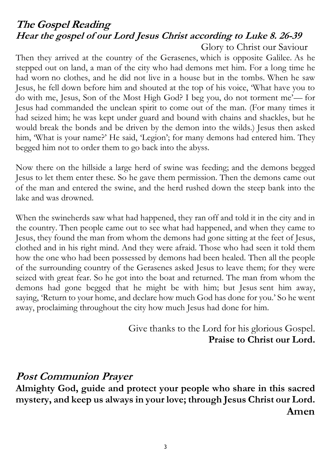# **The Gospel Reading Hear the gospel of our Lord Jesus Christ according to Luke 8. 26-39**

Glory to Christ our Saviour

Then they arrived at the country of the Gerasenes, which is opposite Galilee. As he stepped out on land, a man of the city who had demons met him. For a long time he had worn no clothes, and he did not live in a house but in the tombs. When he saw Jesus, he fell down before him and shouted at the top of his voice, 'What have you to do with me, Jesus, Son of the Most High God? I beg you, do not torment me'— for Jesus had commanded the unclean spirit to come out of the man. (For many times it had seized him; he was kept under guard and bound with chains and shackles, but he would break the bonds and be driven by the demon into the wilds.) Jesus then asked him, 'What is your name?' He said, 'Legion'; for many demons had entered him. They begged him not to order them to go back into the abyss.

Now there on the hillside a large herd of swine was feeding; and the demons begged Jesus to let them enter these. So he gave them permission. Then the demons came out of the man and entered the swine, and the herd rushed down the steep bank into the lake and was drowned.

When the swineherds saw what had happened, they ran off and told it in the city and in the country. Then people came out to see what had happened, and when they came to Jesus, they found the man from whom the demons had gone sitting at the feet of Jesus, clothed and in his right mind. And they were afraid. Those who had seen it told them how the one who had been possessed by demons had been healed. Then all the people of the surrounding country of the Gerasenes asked Jesus to leave them; for they were seized with great fear. So he got into the boat and returned. The man from whom the demons had gone begged that he might be with him; but Jesus sent him away, saying, 'Return to your home, and declare how much God has done for you.' So he went away, proclaiming throughout the city how much Jesus had done for him.

> Give thanks to the Lord for his glorious Gospel.  **Praise to Christ our Lord.**

#### **Post Communion Prayer**

**Almighty God, guide and protect your people who share in this sacred mystery, and keep us always in your love; through Jesus Christ our Lord. Amen**